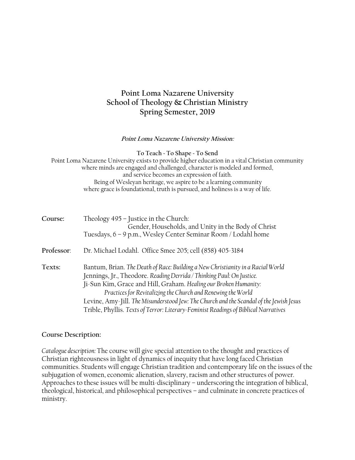# **Point Loma Nazarene University School of Theology & Christian Ministry Spring Semester, 2019**

#### **Point Loma Nazarene University Mission:**

**To Teach ~ To Shape ~ To Send** Point Loma Nazarene University exists to provide higher education in a vital Christian community where minds are engaged and challenged, character is modeled and formed, and service becomes an expression of faith. Being of Wesleyan heritage, we aspire to be a learning community where grace is foundational, truth is pursued, and holiness is a way of life.

| Course:    | Theology 495 - Justice in the Church:<br>Gender, Households, and Unity in the Body of Christ<br>Tuesdays, 6 - 9 p.m., Wesley Center Seminar Room / Lodahl home                                                                                                                                                                                                                                                                                                                 |
|------------|--------------------------------------------------------------------------------------------------------------------------------------------------------------------------------------------------------------------------------------------------------------------------------------------------------------------------------------------------------------------------------------------------------------------------------------------------------------------------------|
| Professor: | Dr. Michael Lodahl. Office Smee 205; cell (858) 405-3184                                                                                                                                                                                                                                                                                                                                                                                                                       |
| Texts:     | Bantum, Brian. The Death of Race: Building a New Christianity in a Racial World<br>Jennings, Jr., Theodore. Reading Derrida / Thinking Paul: On Justice.<br>Ji-Sun Kim, Grace and Hill, Graham. Healing our Broken Humanity:<br>Practices for Revitalizing the Church and Renewing the World<br>Levine, Amy-Jill. The Misunderstood Jew: The Church and the Scandal of the Jewish Jesus<br>Trible, Phyllis. Texts of Terror: Literary-Feminist Readings of Biblical Narratives |

#### **Course Description:**

*Catalogue description:* The course will give special attention to the thought and practices of Christian righteousness in light of dynamics of inequity that have long faced Christian communities. Students will engage Christian tradition and contemporary life on the issues of the subjugation of women, economic alienation, slavery, racism and other structures of power. Approaches to these issues will be multi-disciplinary – underscoring the integration of biblical, theological, historical, and philosophical perspectives – and culminate in concrete practices of ministry.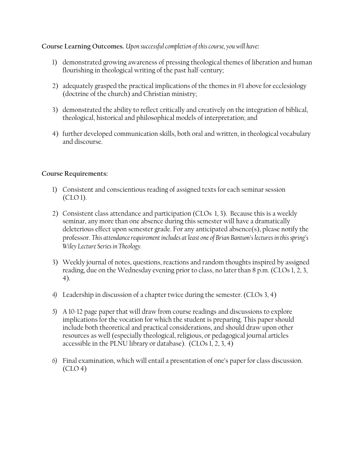## **Course Learning Outcomes.** *Upon successful completion of this course, you will have***:**

- 1) demonstrated growing awareness of pressing theological themes of liberation and human flourishing in theological writing of the past half-century;
- 2) adequately grasped the practical implications of the themes in #1 above for ecclesiology (doctrine of the church) and Christian ministry;
- 3) demonstrated the ability to reflect critically and creatively on the integration of biblical, theological, historical and philosophical models of interpretation; and
- 4) further developed communication skills, both oral and written, in theological vocabulary and discourse.

## **Course Requirements:**

- 1) Consistent and conscientious reading of assigned texts for each seminar session (CLO 1).
- 2) Consistent class attendance and participation (CLOs 1, 3). Because this is a weekly seminar, any more than one absence during this semester will have a dramatically deleterious effect upon semester grade. For any anticipated absence(s), please notify the professor. *This attendance requirement includes at least one of Brian Bantum's lectures in this spring's Wiley Lecture Series in Theology.*
- 3) Weekly journal of notes, questions, reactions and random thoughts inspired by assigned reading, due on the Wednesday evening prior to class, no later than 8 p.m. (CLOs 1, 2, 3, 4).
- *4)* Leadership in discussion of a chapter twice during the semester. (CLOs 3, 4)
- *5)* A 10-12 page paper that will draw from course readings and discussions to explore implications for the vocation for which the student is preparing. This paper should include both theoretical and practical considerations, and should draw upon other resources as well (especially theological, religious, or pedagogical journal articles accessible in the PLNU library or database). (CLOs 1, 2, 3, 4)
- *6)* Final examination, which will entail a presentation of one's paper for class discussion.  $(CLO<sub>4</sub>)$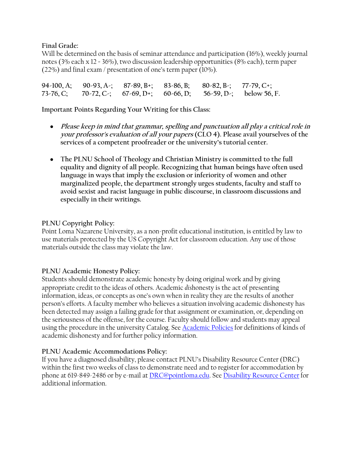**Final Grade:**

Will be determined on the basis of seminar attendance and participation (16%), weekly journal notes (3% each x 12 = 36%), two discussion leadership opportunities (8% each), term paper (22%) and final exam / presentation of one's term paper (10%).

**94-100, A; 90-93, A-; 87-89, B+; 83-86, B; 80-82, B-; 77-79, C+; 73-76, C; 70-72, C-; 67-69, D+; 60-66, D; 56-59, D-; below 56, F.**

**Important Points Regarding Your Writing for this Class:**

- **Please keep in mind that grammar, spelling and punctuation all play a critical role in your professor's evaluation of all your papers (CLO 4). Please avail yourselves of the services of a competent proofreader or the university's tutorial center.**
- **The PLNU School of Theology and Christian Ministry is committed to the full equality and dignity of all people. Recognizing that human beings have often used language in ways that imply the exclusion or inferiority of women and other marginalized people, the department strongly urges students, faculty and staff to avoid sexist and racist language in public discourse, in classroom discussions and especially in their writings.**

## **PLNU Copyright Policy:**

Point Loma Nazarene University, as a non-profit educational institution, is entitled by law to use materials protected by the US Copyright Act for classroom education. Any use of those materials outside the class may violate the law.

## **PLNU Academic Honesty Policy:**

Students should demonstrate academic honesty by doing original work and by giving appropriate credit to the ideas of others. Academic *dis*honesty is the act of presenting information, ideas, or concepts as one's own when in reality they are the results of another person's efforts. A faculty member who believes a situation involving academic dishonesty has been detected may assign a failing grade for that assignment or examination, or, depending on the seriousness of the offense, for the course. Faculty should follow and students may appeal using the procedure in the university Catalog. See [Academic Policies](http://catalog.pointloma.edu/content.php?catoid=18&navoid=1278) for definitions of kinds of academic dishonesty and for further policy information.

## **PLNU Academic Accommodations Policy:**

If you have a diagnosed disability, please contact PLNU's Disability Resource Center (DRC) within the first two weeks of class to demonstrate need and to register for accommodation by phone at 619-849-2486 or by e-mail a[t DRC@pointloma.edu.](mailto:DRC@pointloma.edu) See [Disability Resource Center](http://www.pointloma.edu/experience/offices/administrative-offices/academic-advising-office/disability-resource-center) for additional information.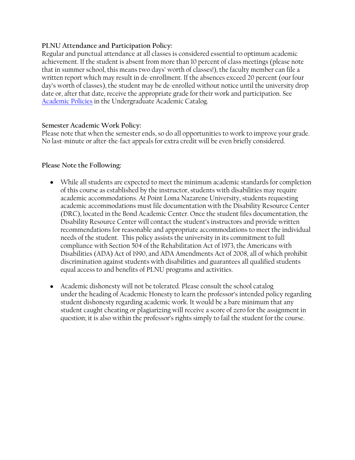## **PLNU Attendance and Participation Policy:**

Regular and punctual attendance at all classes is considered essential to optimum academic achievement. If the student is absent from more than 10 percent of class meetings (please note that in summer school, this means two days' worth of classes!), the faculty member can file a written report which may result in de-enrollment. If the absences exceed 20 percent (our four day's worth of classes), the student may be de-enrolled without notice until the university drop date or, after that date, receive the appropriate grade for their work and participation. See [Academic Policies](http://catalog.pointloma.edu/content.php?catoid=18&navoid=1278) in the Undergraduate Academic Catalog.

### **Semester Academic Work Policy:**

Please note that when the semester ends, so do all opportunities to work to improve your grade. No last-minute or after-the-fact appeals for extra credit will be even briefly considered.

### **Please Note the Following:**

- While all students are expected to meet the minimum academic standards for completion of this course as established by the instructor, students with disabilities may require academic accommodations. At Point Loma Nazarene University, students requesting academic accommodations must file documentation with the Disability Resource Center (DRC), located in the Bond Academic Center. Once the student files documentation, the Disability Resource Center will contact the student's instructors and provide written recommendations for reasonable and appropriate accommodations to meet the individual needs of the student. This policy assists the university in its commitment to full compliance with Section 504 of the Rehabilitation Act of 1973, the Americans with Disabilities (ADA) Act of 1990, and ADA Amendments Act of 2008, all of which prohibit discrimination against students with disabilities and guarantees all qualified students equal access to and benefits of PLNU programs and activities.
- Academic dishonesty will not be tolerated. Please consult the school catalog under the heading of Academic Honesty to learn the professor's intended policy regarding student dishonesty regarding academic work. It would be a bare minimum that any student caught cheating or plagiarizing will receive a score of zero for the assignment in question; it is also within the professor's rights simply to fail the student for the course.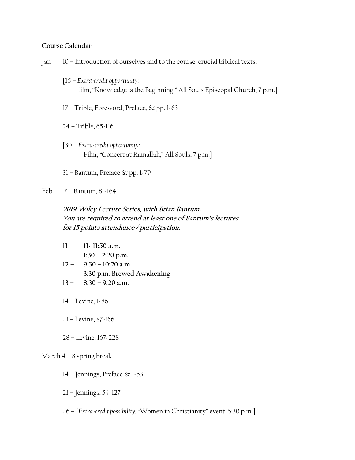## **Course Calendar**

- Jan 10 Introduction of ourselves and to the course: crucial biblical texts.
	- [16 *Extra-credit opportunity:*  film, "Knowledge is the Beginning," All Souls Episcopal Church, 7 p.m.]
	- 17 Trible, Foreword, Preface, & pp. 1-63
	- 24 Trible, 65-116
	- [30 *Extra-credit opportunity:* Film, "Concert at Ramallah," All Souls, 7 p.m.]
	- 31 Bantum, Preface & pp. 1-79
- Feb 7 Bantum, 81-164

**2019 Wiley Lecture Series, with Brian Bantum. <sup>Y</sup>ou are required to attend at least one of Bantum's lectures for 15 points attendance / participation.**

- **11 – 11- 11:50 a.m. 1:30 – 2:20 p.m.**
- **12 – 9:30 – 10:20 a.m. 3:30 p.m. Brewed Awakening**
- **13 – 8:30 – 9:20 a.m.**
- 14 Levine, 1-86
- 21 Levine, 87-166
- 28 Levine, 167-228

#### March  $4 - 8$  spring break

- 14 Jennings, Preface & 1-53
- 21 Jennings, 54-127
- 26 [*Extra-credit possibility:* "Women in Christianity" event, 5:30 p.m.]